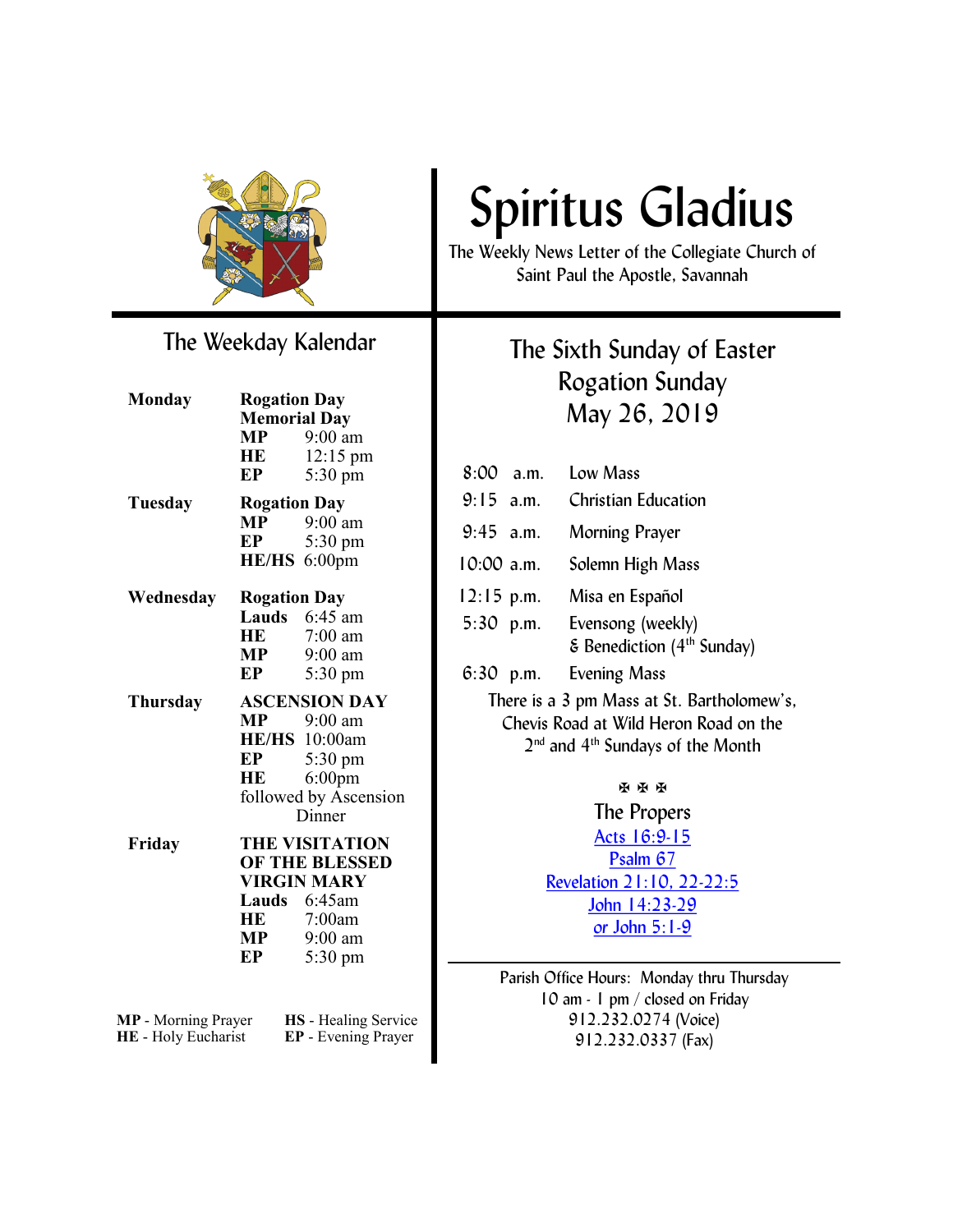

### The Weekday Kalendar

| <b>Monday</b>              | <b>Rogation Day</b><br><b>Memorial Day</b> |                             |
|----------------------------|--------------------------------------------|-----------------------------|
|                            |                                            |                             |
|                            | $\bf{MP}$                                  | $9:00$ am                   |
|                            | HE                                         | $12:15 \text{ pm}$          |
|                            | EP                                         | $5:30 \text{ pm}$           |
| Tuesday                    | <b>Rogation Day</b>                        |                             |
|                            | $\bf{MP}$                                  | 9:00 am                     |
|                            | EP                                         | 5:30 pm                     |
|                            |                                            | HE/HS 6:00pm                |
| Wednesday                  | <b>Rogation Day</b>                        |                             |
|                            |                                            | Lauds 6:45 am               |
|                            | HE                                         | 7:00 am                     |
|                            |                                            | $MP$ 9:00 am                |
|                            | EP                                         | 5:30 pm                     |
| <b>Thursday</b>            | <b>ASCENSION DAY</b>                       |                             |
|                            |                                            | $MP$ 9:00 am                |
|                            |                                            | HE/HS 10:00am               |
|                            | EP                                         | 5:30 pm                     |
|                            | <b>HE</b>                                  | $6:00$ pm                   |
|                            |                                            | followed by Ascension       |
|                            |                                            | Dinner                      |
| Friday                     |                                            | <b>THE VISITATION</b>       |
|                            |                                            | OF THE BLESSED              |
|                            |                                            | <b>VIRGIN MARY</b>          |
|                            |                                            | Lauds 6:45am                |
|                            | <b>HE</b>                                  | 7:00am                      |
|                            | MP                                         | $9:00$ am                   |
|                            | EP                                         | $5:30 \text{ pm}$           |
|                            |                                            |                             |
| <b>MP</b> - Morning Prayer |                                            | <b>HS</b> - Healing Service |
| <b>HE</b> - Holy Eucharist |                                            | <b>EP</b> - Evening Praver  |

# Spiritus Gladius

The Weekly News Letter of the Collegiate Church of Saint Paul the Apostle, Savannah

### The Sixth Sunday of Easter Rogation Sunday May 26, 2019

8:00 a.m. Low Mass 9:15 a.m. Christian Education 9:45 a.m. Morning Prayer 10:00 a.m. Solemn High Mass 12:15 p.m. Misa en Español 5:30 p.m. Evensong (weekly)  $\epsilon$  Benediction (4<sup>th</sup> Sunday) 6:30 p.m. Evening Mass There is a 3 pm Mass at St. Bartholomew's, Chevis Road at Wild Heron Road on the 2<sup>nd</sup> and 4<sup>th</sup> Sundays of the Month **H H H** 

The Propers [Acts 16:9-15](https://www.lectionarypage.net/YearC_RCL/Easter/CEaster6_RCL.html) [Psalm 67](https://www.lectionarypage.net/YearC_RCL/Easter/CEaster6_RCL.html) [Revelation 21:10, 22-22:5](https://www.lectionarypage.net/YearC_RCL/Easter/CEaster6_RCL.html) [John 14:23-29](https://www.lectionarypage.net/YearC_RCL/Easter/CEaster6_RCL.html) *or* [John 5:1-9](https://www.lectionarypage.net/YearC_RCL/Easter/CEaster6_RCL.html)

Parish Office Hours: Monday thru Thursday 10 am - 1 pm / closed on Friday 912.232.0274 (Voice) 912.232.0337 (Fax)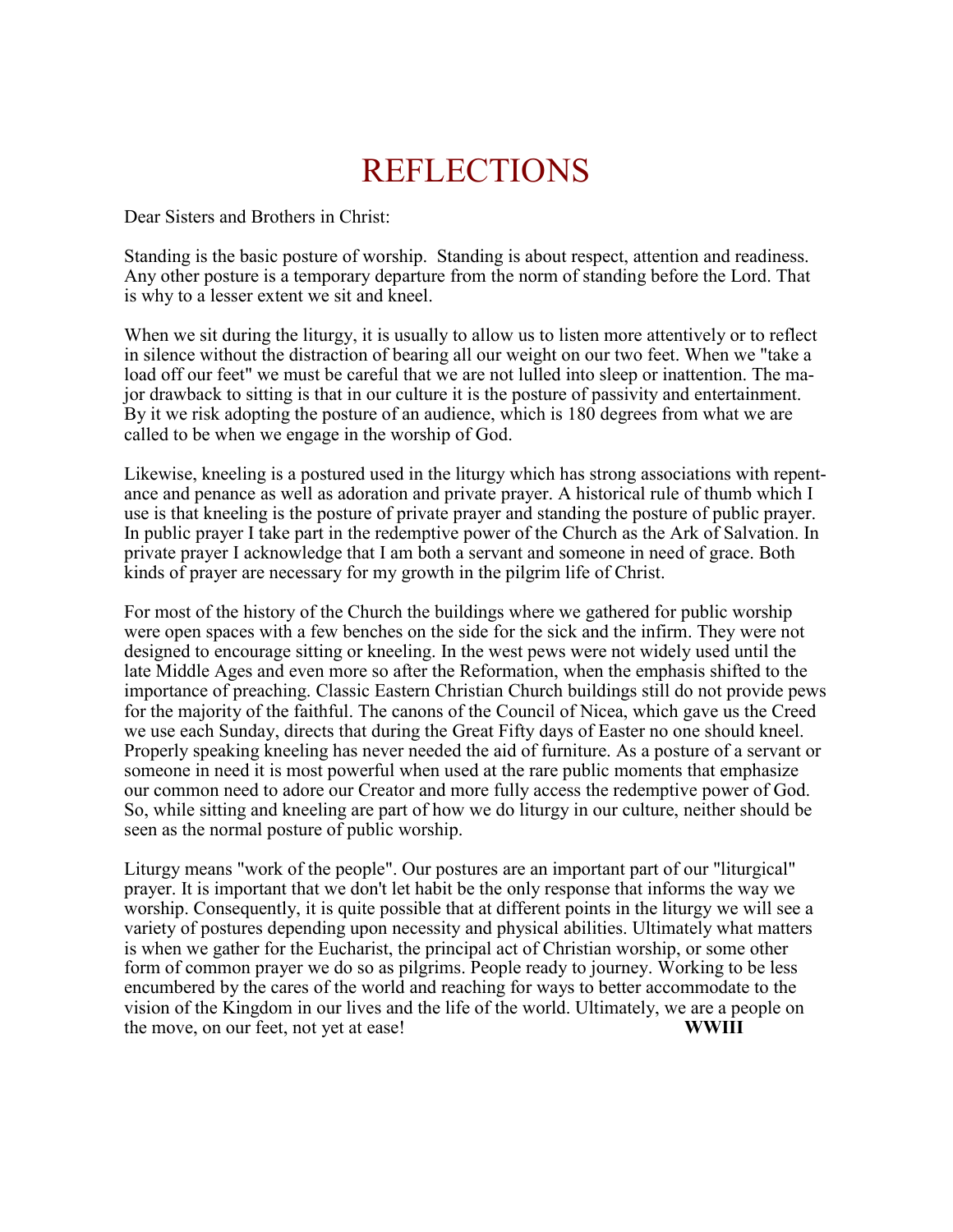## REFLECTIONS

Dear Sisters and Brothers in Christ:

Standing is the basic posture of worship. Standing is about respect, attention and readiness. Any other posture is a temporary departure from the norm of standing before the Lord. That is why to a lesser extent we sit and kneel.

When we sit during the liturgy, it is usually to allow us to listen more attentively or to reflect in silence without the distraction of bearing all our weight on our two feet. When we "take a load off our feet" we must be careful that we are not lulled into sleep or inattention. The major drawback to sitting is that in our culture it is the posture of passivity and entertainment. By it we risk adopting the posture of an audience, which is 180 degrees from what we are called to be when we engage in the worship of God.

Likewise, kneeling is a postured used in the liturgy which has strong associations with repentance and penance as well as adoration and private prayer. A historical rule of thumb which I use is that kneeling is the posture of private prayer and standing the posture of public prayer. In public prayer I take part in the redemptive power of the Church as the Ark of Salvation. In private prayer I acknowledge that I am both a servant and someone in need of grace. Both kinds of prayer are necessary for my growth in the pilgrim life of Christ.

For most of the history of the Church the buildings where we gathered for public worship were open spaces with a few benches on the side for the sick and the infirm. They were not designed to encourage sitting or kneeling. In the west pews were not widely used until the late Middle Ages and even more so after the Reformation, when the emphasis shifted to the importance of preaching. Classic Eastern Christian Church buildings still do not provide pews for the majority of the faithful. The canons of the Council of Nicea, which gave us the Creed we use each Sunday, directs that during the Great Fifty days of Easter no one should kneel. Properly speaking kneeling has never needed the aid of furniture. As a posture of a servant or someone in need it is most powerful when used at the rare public moments that emphasize our common need to adore our Creator and more fully access the redemptive power of God. So, while sitting and kneeling are part of how we do liturgy in our culture, neither should be seen as the normal posture of public worship.

Liturgy means "work of the people". Our postures are an important part of our "liturgical" prayer. It is important that we don't let habit be the only response that informs the way we worship. Consequently, it is quite possible that at different points in the liturgy we will see a variety of postures depending upon necessity and physical abilities. Ultimately what matters is when we gather for the Eucharist, the principal act of Christian worship, or some other form of common prayer we do so as pilgrims. People ready to journey. Working to be less encumbered by the cares of the world and reaching for ways to better accommodate to the vision of the Kingdom in our lives and the life of the world. Ultimately, we are a people on the move, on our feet, not yet at ease! **WWIII**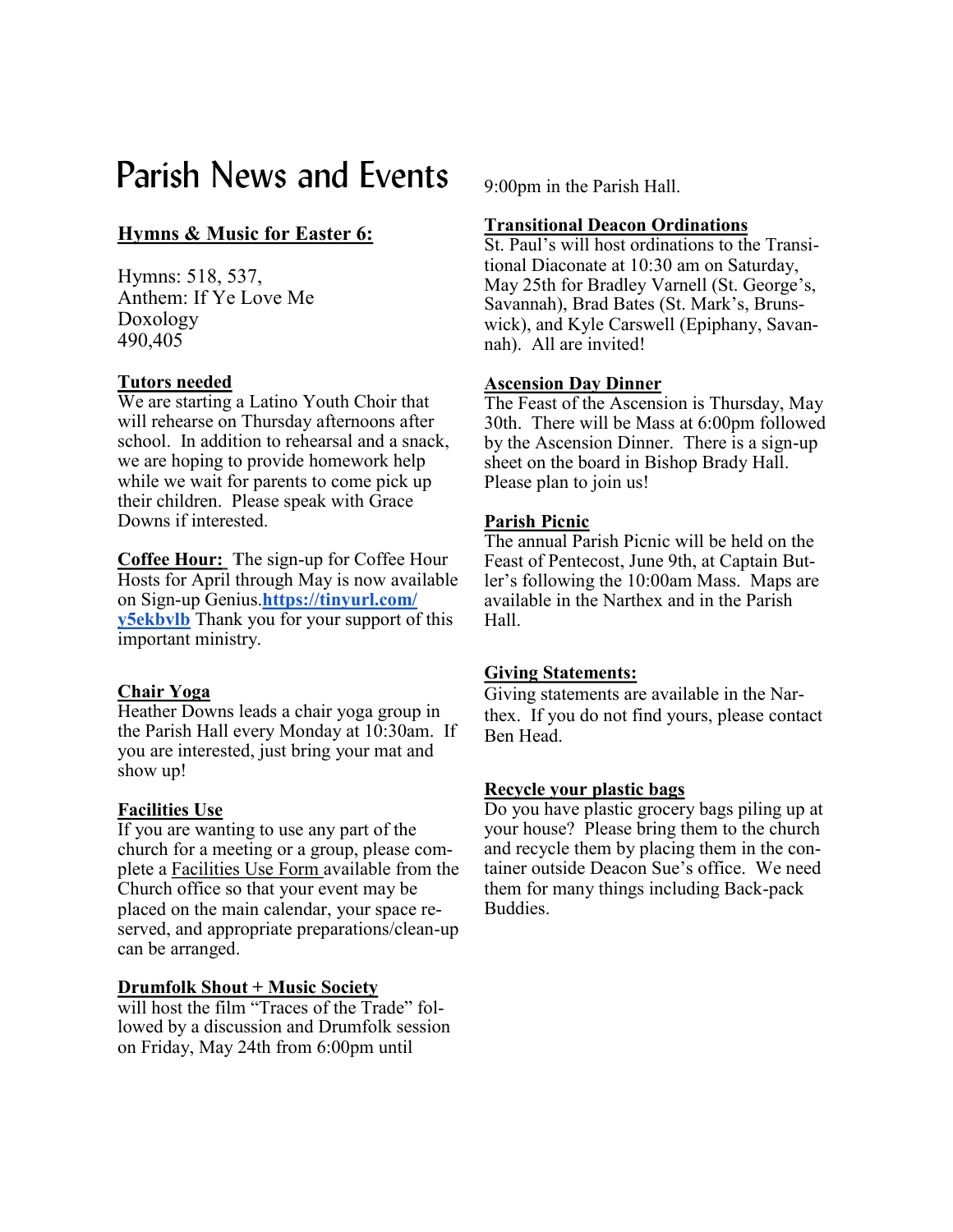### Parish News and Events  $_{9:00pm}$  in the Parish Hall.

### **Hymns & Music for Easter 6:**

Hymns: 518, 537, Anthem: If Ye Love Me Doxology 490,405

#### **Tutors needed**

We are starting a Latino Youth Choir that will rehearse on Thursday afternoons after school. In addition to rehearsal and a snack, we are hoping to provide homework help while we wait for parents to come pick up their children. Please speak with Grace Downs if interested.

**Coffee Hour: T**he sign-up for Coffee Hour Hosts for April through May is now available on Sign-up Genius.**[https://tinyurl.com/](https://tinyurl.com/y5ekbvlb) [y5ekbvlb](https://tinyurl.com/y5ekbvlb)** Thank you for your support of this important ministry.

#### **Chair Yoga**

Heather Downs leads a chair yoga group in the Parish Hall every Monday at 10:30am. If you are interested, just bring your mat and show up!

#### **Facilities Use**

If you are wanting to use any part of the church for a meeting or a group, please complete a Facilities Use Form available from the Church office so that your event may be placed on the main calendar, your space reserved, and appropriate preparations/clean-up can be arranged.

#### **Drumfolk Shout + Music Society**

will host the film "Traces of the Trade" followed by a discussion and Drumfolk session on Friday, May 24th from 6:00pm until

#### **Transitional Deacon Ordinations**

St. Paul's will host ordinations to the Transitional Diaconate at 10:30 am on Saturday, May 25th for Bradley Varnell (St. George's, Savannah), Brad Bates (St. Mark's, Brunswick), and Kyle Carswell (Epiphany, Savannah). All are invited!

#### **Ascension Day Dinner**

The Feast of the Ascension is Thursday, May 30th. There will be Mass at 6:00pm followed by the Ascension Dinner. There is a sign-up sheet on the board in Bishop Brady Hall. Please plan to join us!

#### **Parish Picnic**

The annual Parish Picnic will be held on the Feast of Pentecost, June 9th, at Captain Butler's following the 10:00am Mass. Maps are available in the Narthex and in the Parish Hall.

#### **Giving Statements:**

Giving statements are available in the Narthex. If you do not find yours, please contact Ben Head.

#### **Recycle your plastic bags**

Do you have plastic grocery bags piling up at your house? Please bring them to the church and recycle them by placing them in the container outside Deacon Sue's office. We need them for many things including Back-pack Buddies.